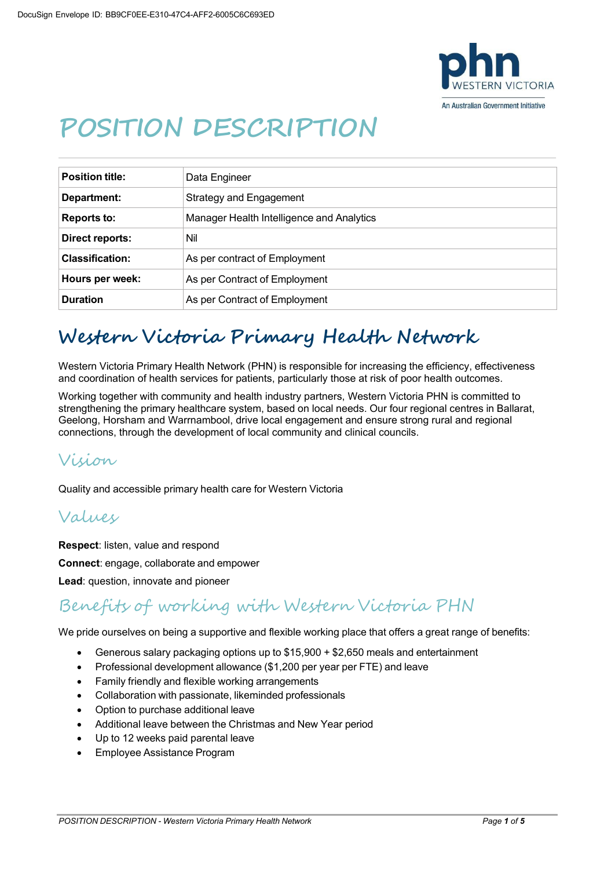

# **POSITION DESCRIPTION**

| <b>Position title:</b> | Data Engineer                             |
|------------------------|-------------------------------------------|
| Department:            | <b>Strategy and Engagement</b>            |
| <b>Reports to:</b>     | Manager Health Intelligence and Analytics |
| Direct reports:        | Nil                                       |
| <b>Classification:</b> | As per contract of Employment             |
| Hours per week:        | As per Contract of Employment             |
| <b>Duration</b>        | As per Contract of Employment             |

# **Western Victoria Primary Health Network**

Western Victoria Primary Health Network (PHN) is responsible for increasing the efficiency, effectiveness and coordination of health services for patients, particularly those at risk of poor health outcomes.

Working together with community and health industry partners, Western Victoria PHN is committed to strengthening the primary healthcare system, based on local needs. Our four regional centres in Ballarat, Geelong, Horsham and Warrnambool, drive local engagement and ensure strong rural and regional connections, through the development of local community and clinical councils.

#### Vision

Quality and accessible primary health care for Western Victoria

#### Values

**Respect**: listen, value and respond

**Connect**: engage, collaborate and empower

**Lead**: question, innovate and pioneer

#### Benefits of working with Western Victoria PHN

We pride ourselves on being a supportive and flexible working place that offers a great range of benefits:

- Generous salary packaging options up to \$15,900 + \$2,650 meals and entertainment
- Professional development allowance (\$1,200 per year per FTE) and leave
- Family friendly and flexible working arrangements
- Collaboration with passionate, likeminded professionals
- Option to purchase additional leave
- Additional leave between the Christmas and New Year period
- Up to 12 weeks paid parental leave
- Employee Assistance Program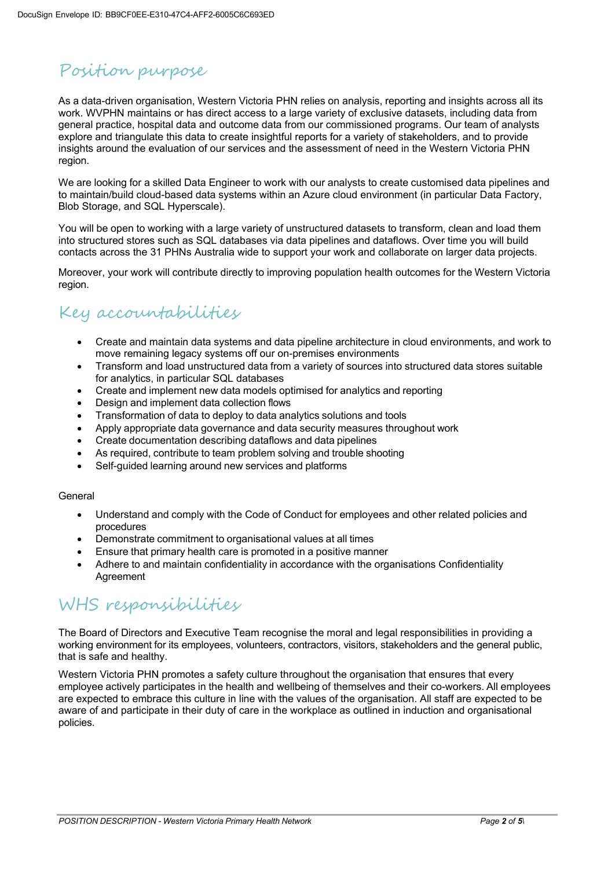# Position purpose

As a data-driven organisation, Western Victoria PHN relies on analysis, reporting and insights across all its work. WVPHN maintains or has direct access to a large variety of exclusive datasets, including data from general practice, hospital data and outcome data from our commissioned programs. Our team of analysts explore and triangulate this data to create insightful reports for a variety of stakeholders, and to provide insights around the evaluation of our services and the assessment of need in the Western Victoria PHN region.

We are looking for a skilled Data Engineer to work with our analysts to create customised data pipelines and to maintain/build cloud-based data systems within an Azure cloud environment (in particular Data Factory, Blob Storage, and SQL Hyperscale).

You will be open to working with a large variety of unstructured datasets to transform, clean and load them into structured stores such as SQL databases via data pipelines and dataflows. Over time you will build contacts across the 31 PHNs Australia wide to support your work and collaborate on larger data projects.

Moreover, your work will contribute directly to improving population health outcomes for the Western Victoria region.

### Key accountabilities

- Create and maintain data systems and data pipeline architecture in cloud environments, and work to move remaining legacy systems off our on-premises environments
- Transform and load unstructured data from a variety of sources into structured data stores suitable for analytics, in particular SQL databases
- Create and implement new data models optimised for analytics and reporting
- Design and implement data collection flows
- Transformation of data to deploy to data analytics solutions and tools
- Apply appropriate data governance and data security measures throughout work
- Create documentation describing dataflows and data pipelines
- As required, contribute to team problem solving and trouble shooting
- Self-quided learning around new services and platforms

#### General

- Understand and comply with the Code of Conduct for employees and other related policies and procedures
- Demonstrate commitment to organisational values at all times
- Ensure that primary health care is promoted in a positive manner
- Adhere to and maintain confidentiality in accordance with the organisations Confidentiality **Agreement**

### WHS responsibilities

The Board of Directors and Executive Team recognise the moral and legal responsibilities in providing a working environment for its employees, volunteers, contractors, visitors, stakeholders and the general public, that is safe and healthy.

Western Victoria PHN promotes a safety culture throughout the organisation that ensures that every employee actively participates in the health and wellbeing of themselves and their co-workers. All employees are expected to embrace this culture in line with the values of the organisation. All staff are expected to be aware of and participate in their duty of care in the workplace as outlined in induction and organisational policies.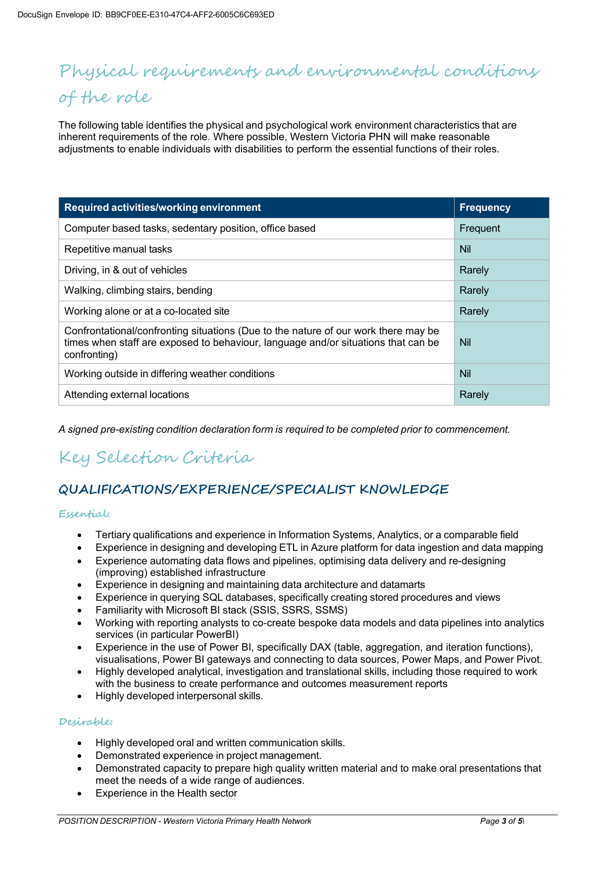## Physical requirements and environmental conditions of the role

The following table identifies the physical and psychological work environment characteristics that are inherent requirements of the role. Where possible, Western Victoria PHN will make reasonable adjustments to enable individuals with disabilities to perform the essential functions of their roles.

| Required activities/working environment                                                                                                                                                 | <b>Frequency</b> |
|-----------------------------------------------------------------------------------------------------------------------------------------------------------------------------------------|------------------|
| Computer based tasks, sedentary position, office based                                                                                                                                  | Frequent         |
| Repetitive manual tasks                                                                                                                                                                 | <b>Nil</b>       |
| Driving, in & out of vehicles                                                                                                                                                           | Rarely           |
| Walking, climbing stairs, bending                                                                                                                                                       | Rarely           |
| Working alone or at a co-located site                                                                                                                                                   | Rarely           |
| Confrontational/confronting situations (Due to the nature of our work there may be<br>times when staff are exposed to behaviour, language and/or situations that can be<br>confronting) | <b>Nil</b>       |
| Working outside in differing weather conditions                                                                                                                                         | Nil              |
| Attending external locations                                                                                                                                                            | Rarely           |

*A signed pre-existing condition declaration form is required to be completed prior to commencement.*

## Key Selection Criteria

#### **QUALIFICATIONS/EXPERIENCE/SPECIALIST KNOWLEDGE**

#### **Essential:**

- Tertiary qualifications and experience in Information Systems, Analytics, or a comparable field
- Experience in designing and developing ETL in Azure platform for data ingestion and data mapping
- Experience automating data flows and pipelines, optimising data delivery and re-designing (improving) established infrastructure
- Experience in designing and maintaining data architecture and datamarts
- Experience in querying SQL databases, specifically creating stored procedures and views
- Familiarity with Microsoft BI stack (SSIS, SSRS, SSMS)
- Working with reporting analysts to co-create bespoke data models and data pipelines into analytics services (in particular PowerBI)
- Experience in the use of Power BI, specifically DAX (table, aggregation, and iteration functions), visualisations, Power BI gateways and connecting to data sources, Power Maps, and Power Pivot.
- Highly developed analytical, investigation and translational skills, including those required to work with the business to create performance and outcomes measurement reports
- Highly developed interpersonal skills.

#### **Desirable:**

- Highly developed oral and written communication skills.
- Demonstrated experience in project management.
- Demonstrated capacity to prepare high quality written material and to make oral presentations that meet the needs of a wide range of audiences.
- Experience in the Health sector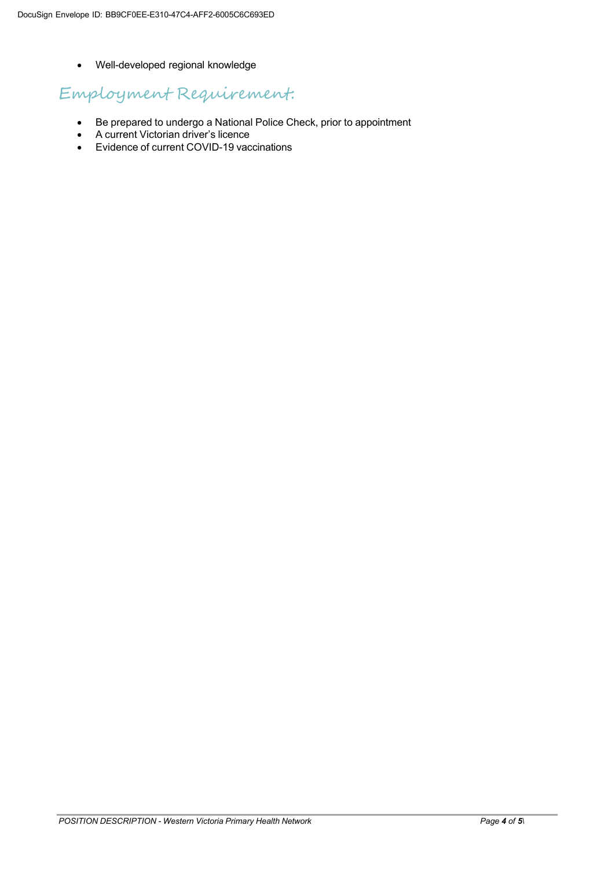• Well-developed regional knowledge

### Employment Requirement:

- Be prepared to undergo a National Police Check, prior to appointment
- A current Victorian driver's licence
- Evidence of current COVID-19 vaccinations